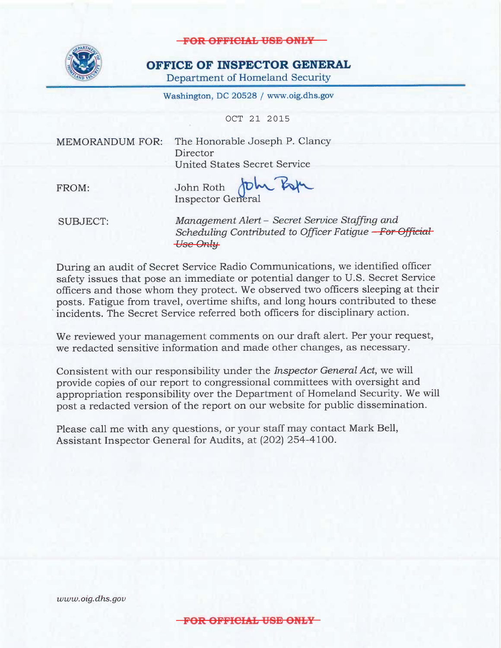

#### OFFICE OF INSPECTOR GENERAL

Department of Homeland Security

Washington, DC 20528 / www.oig.dhs.gov

OCT 21 2015

**MEMORANDUM FOR:** 

The Honorable Joseph P. Clancy Director **United States Secret Service** 

FROM:

John Roth John Pop **Inspector General** 

**SUBJECT:** 

Management Alert - Secret Service Staffing and Scheduling Contributed to Officer Fatigue - For Official **Use Only** 

During an audit of Secret Service Radio Communications, we identified officer safety issues that pose an immediate or potential danger to U.S. Secret Service officers and those whom they protect. We observed two officers sleeping at their posts. Fatigue from travel, overtime shifts, and long hours contributed to these incidents. The Secret Service referred both officers for disciplinary action.

We reviewed your management comments on our draft alert. Per your request, we redacted sensitive information and made other changes, as necessary.

Consistent with our responsibility under the *Inspector General Act*, we will provide copies of our report to congressional committees with oversight and appropriation responsibility over the Department of Homeland Security. We will post a redacted version of the report on our website for public dissemination.

Please call me with any questions, or your staff may contact Mark Bell, Assistant Inspector General for Audits, at (202) 254-4100.

www.oig.dhs.gov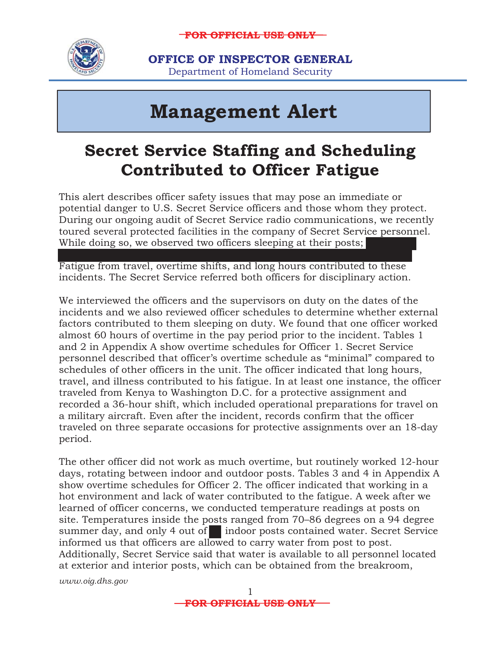

**OFFICE OF INSPECTOR GENERAL**  Department of Homeland Security

 $\overline{a}$ 

# **Management Alert**

## **Secret Service Staffing and Scheduling Contributed to Officer Fatigue**

This alert describes officer safety issues that may pose an immediate or potential danger to U.S. Secret Service officers and those whom they protect. During our ongoing audit of Secret Service radio communications, we recently toured several protected facilities in the company of Secret Service personnel. While doing so, we observed two officers sleeping at their posts;

Fatigue from travel, overtime shifts, and long hours contributed to these incidents. The Secret Service referred both officers for disciplinary action.

We interviewed the officers and the supervisors on duty on the dates of the incidents and we also reviewed officer schedules to determine whether external factors contributed to them sleeping on duty. We found that one officer worked almost 60 hours of overtime in the pay period prior to the incident. Tables 1 and 2 in Appendix A show overtime schedules for Officer 1. Secret Service personnel described that officer's overtime schedule as "minimal" compared to schedules of other officers in the unit. The officer indicated that long hours, travel, and illness contributed to his fatigue. In at least one instance, the officer traveled from Kenya to Washington D.C. for a protective assignment and recorded a 36-hour shift, which included operational preparations for travel on a military aircraft. Even after the incident, records confirm that the officer traveled on three separate occasions for protective assignments over an 18-day period.

The other officer did not work as much overtime, but routinely worked 12-hour days, rotating between indoor and outdoor posts. Tables 3 and 4 in Appendix A show overtime schedules for Officer 2. The officer indicated that working in a hot environment and lack of water contributed to the fatigue. A week after we learned of officer concerns, we conducted temperature readings at posts on site. Temperatures inside the posts ranged from 70–86 degrees on a 94 degree summer day, and only 4 out of indoor posts contained water. Secret Service informed us that officers are allowed to carry water from post to post. Additionally, Secret Service said that water is available to all personnel located at exterior and interior posts, which can be obtained from the breakroom,

 *www.oig.dhs.gov* 

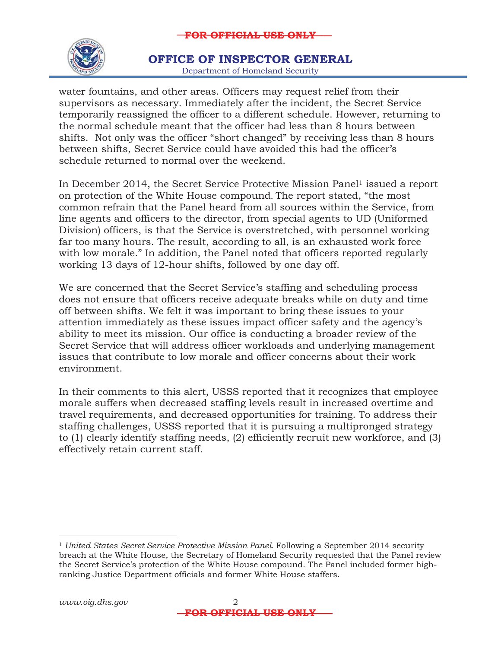

#### Department of Homeland Security **OFFICE OF INSPECTOR GENERAL**

water fountains, and other areas. Officers may request relief from their supervisors as necessary. Immediately after the incident, the Secret Service temporarily reassigned the officer to a different schedule. However, returning to the normal schedule meant that the officer had less than 8 hours between shifts. Not only was the officer "short changed" by receiving less than 8 hours between shifts, Secret Service could have avoided this had the officer's schedule returned to normal over the weekend.

In December 2014, the Secret Service Protective Mission Panel<sup>1</sup> issued a report on protection of the White House compound. The report stated, "the most common refrain that the Panel heard from all sources within the Service, from line agents and officers to the director, from special agents to UD (Uniformed Division) officers, is that the Service is overstretched, with personnel working far too many hours. The result, according to all, is an exhausted work force with low morale." In addition, the Panel noted that officers reported regularly working 13 days of 12-hour shifts, followed by one day off.

We are concerned that the Secret Service's staffing and scheduling process does not ensure that officers receive adequate breaks while on duty and time off between shifts. We felt it was important to bring these issues to your attention immediately as these issues impact officer safety and the agency's ability to meet its mission. Our office is conducting a broader review of the Secret Service that will address officer workloads and underlying management issues that contribute to low morale and officer concerns about their work environment.

In their comments to this alert, USSS reported that it recognizes that employee morale suffers when decreased staffing levels result in increased overtime and travel requirements, and decreased opportunities for training. To address their staffing challenges, USSS reported that it is pursuing a multipronged strategy to (1) clearly identify staffing needs, (2) efficiently recruit new workforce, and (3) effectively retain current staff.

<sup>&</sup>lt;sup>1</sup> United States Secret Service Protective Mission Panel. Following a September 2014 security breach at the White House, the Secretary of Homeland Security requested that the Panel review the Secret Service's protection of the White House compound. The Panel included former highranking Justice Department officials and former White House staffers.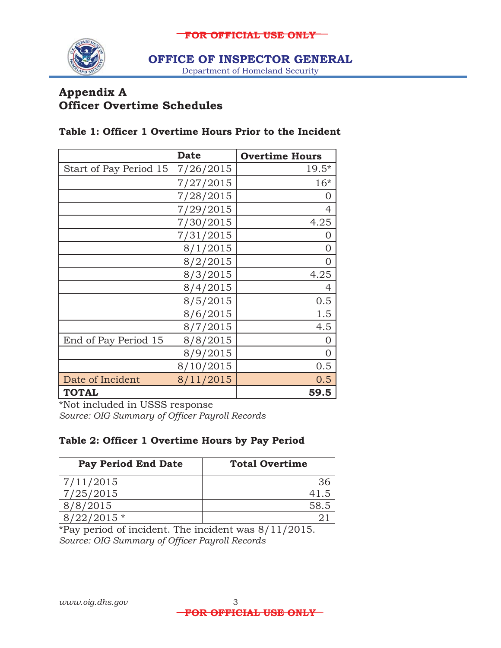

**OFFICE OF INSPECTOR GENERAL** 

Department of Homeland Security

### **Appendix A Officer Overtime Schedules**

#### **Table 1: Officer 1 Overtime Hours Prior to the Incident**

|                        | <b>Date</b> | <b>Overtime Hours</b> |
|------------------------|-------------|-----------------------|
| Start of Pay Period 15 | 7/26/2015   | $19.5*$               |
|                        | 7/27/2015   | $16*$                 |
|                        | 7/28/2015   | O                     |
|                        | 7/29/2015   | 4                     |
|                        | 7/30/2015   | 4.25                  |
|                        | 7/31/2015   | O                     |
|                        | 8/1/2015    | 0                     |
|                        | 8/2/2015    | 0                     |
|                        | 8/3/2015    | 4.25                  |
|                        | 8/4/2015    | 4                     |
|                        | 8/5/2015    | 0.5                   |
|                        | 8/6/2015    | 1.5                   |
|                        | 8/7/2015    | 4.5                   |
| End of Pay Period 15   | 8/8/2015    | $\Omega$              |
|                        | 8/9/2015    | 0                     |
|                        | 8/10/2015   | 0.5                   |
| Date of Incident       | 8/11/2015   | 0.5                   |
| <b>TOTAL</b>           |             | 59.5                  |

\*Not included in USSS response *Source: OIG Summary of Officer Payroll Records* 

#### **Table 2: Officer 1 Overtime Hours by Pay Period**

| <b>Pay Period End Date</b> | <b>Total Overtime</b> |
|----------------------------|-----------------------|
| 7/11/2015                  | 36                    |
| 7/25/2015                  | 41.5                  |
| 8/2015                     | 58.5                  |
| $22/2015*$                 |                       |

\*Pay period of incident. The incident was 8/11/2015. *Source: OIG Summary of Officer Payroll Records*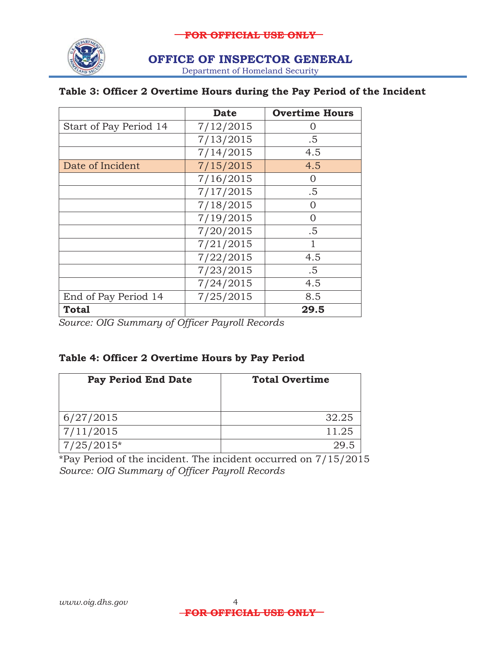

#### **OFFICE OF INSPECTOR GENERAL**

Department of Homeland Security

#### **Table 3: Officer 2 Overtime Hours during the Pay Period of the Incident**

|                        | <b>Date</b> | <b>Overtime Hours</b> |
|------------------------|-------------|-----------------------|
| Start of Pay Period 14 | 7/12/2015   |                       |
|                        | 7/13/2015   | $.5\,$                |
|                        | 7/14/2015   | 4.5                   |
| Date of Incident       | 7/15/2015   | 4.5                   |
|                        | 7/16/2015   | $\left( \right)$      |
|                        | 7/17/2015   | .5                    |
|                        | 7/18/2015   |                       |
|                        | 7/19/2015   | $\left( \right)$      |
|                        | 7/20/2015   | .5                    |
|                        | 7/21/2015   |                       |
|                        | 7/22/2015   | 4.5                   |
|                        | 7/23/2015   | $.5\,$                |
|                        | 7/24/2015   | 4.5                   |
| End of Pay Period 14   | 7/25/2015   | 8.5                   |
| <b>Total</b>           |             | 29.5                  |

 *Source: OIG Summary of Officer Payroll Records* 

#### **Table 4: Officer 2 Overtime Hours by Pay Period**

| <b>Pay Period End Date</b> | <b>Total Overtime</b> |
|----------------------------|-----------------------|
| 6/27/2015                  | 32.25                 |
| 7/11/2015                  | 11.25                 |
| 7/25/2015*                 | 29.5                  |

**Source: OIG Summary of Officer Payroll Records** \*Pay Period of the incident. The incident occurred on 7/15/2015 *Source: OIG Summary of Officer Payroll Records www.oig.dhs.gov* <sup>4</sup>